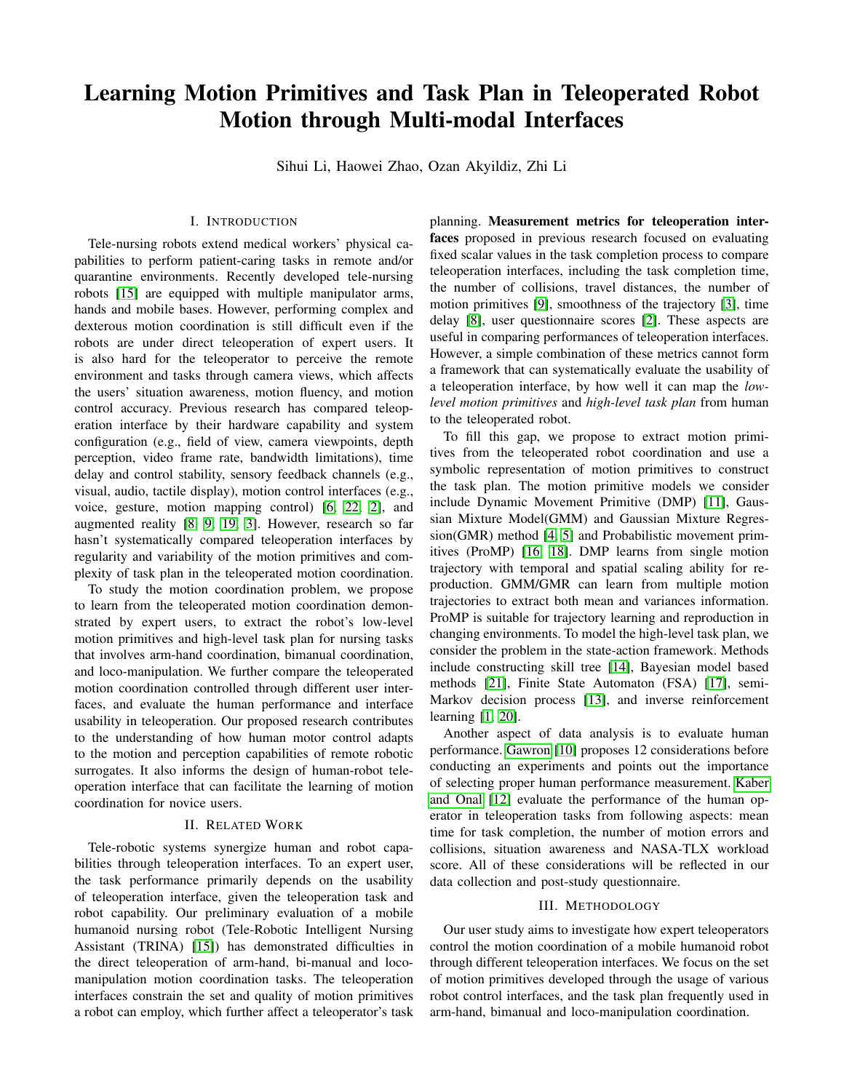# Learning Motion Primitives and Task Plan in Teleoperated Robot Motion through Multi-modal Interfaces

Sihui Li, Haowei Zhao, Ozan Akyildiz, Zhi Li

## I. INTRODUCTION

Tele-nursing robots extend medical workers' physical capabilities to perform patient-caring tasks in remote and/or quarantine environments. Recently developed tele-nursing robots [\[15\]](#page-2-0) are equipped with multiple manipulator arms, hands and mobile bases. However, performing complex and dexterous motion coordination is still difficult even if the robots are under direct teleoperation of expert users. It is also hard for the teleoperator to perceive the remote environment and tasks through camera views, which affects the users' situation awareness, motion fluency, and motion control accuracy. Previous research has compared teleoperation interface by their hardware capability and system configuration (e.g., field of view, camera viewpoints, depth perception, video frame rate, bandwidth limitations), time delay and control stability, sensory feedback channels (e.g., visual, audio, tactile display), motion control interfaces (e.g., voice, gesture, motion mapping control) [\[6,](#page-2-1) [22,](#page-2-2) [2\]](#page-2-3), and augmented reality [\[8,](#page-2-4) [9,](#page-2-5) [19,](#page-2-6) [3\]](#page-2-7). However, research so far hasn't systematically compared teleoperation interfaces by regularity and variability of the motion primitives and complexity of task plan in the teleoperated motion coordination.

To study the motion coordination problem, we propose to learn from the teleoperated motion coordination demonstrated by expert users, to extract the robot's low-level motion primitives and high-level task plan for nursing tasks that involves arm-hand coordination, bimanual coordination, and loco-manipulation. We further compare the teleoperated motion coordination controlled through different user interfaces, and evaluate the human performance and interface usability in teleoperation. Our proposed research contributes to the understanding of how human motor control adapts to the motion and perception capabilities of remote robotic surrogates. It also informs the design of human-robot teleoperation interface that can facilitate the learning of motion coordination for novice users.

#### II. RELATED WORK

Tele-robotic systems synergize human and robot capabilities through teleoperation interfaces. To an expert user, the task performance primarily depends on the usability of teleoperation interface, given the teleoperation task and robot capability. Our preliminary evaluation of a mobile humanoid nursing robot (Tele-Robotic Intelligent Nursing Assistant (TRINA) [\[15\]](#page-2-0)) has demonstrated difficulties in the direct teleoperation of arm-hand, bi-manual and locomanipulation motion coordination tasks. The teleoperation interfaces constrain the set and quality of motion primitives a robot can employ, which further affect a teleoperator's task

planning. Measurement metrics for teleoperation interfaces proposed in previous research focused on evaluating fixed scalar values in the task completion process to compare teleoperation interfaces, including the task completion time, the number of collisions, travel distances, the number of motion primitives [\[9\]](#page-2-5), smoothness of the trajectory [\[3\]](#page-2-7), time delay [\[8\]](#page-2-4), user questionnaire scores [\[2\]](#page-2-3). These aspects are useful in comparing performances of teleoperation interfaces. However, a simple combination of these metrics cannot form a framework that can systematically evaluate the usability of a teleoperation interface, by how well it can map the *lowlevel motion primitives* and *high-level task plan* from human to the teleoperated robot.

To fill this gap, we propose to extract motion primitives from the teleoperated robot coordination and use a symbolic representation of motion primitives to construct the task plan. The motion primitive models we consider include Dynamic Movement Primitive (DMP) [\[11\]](#page-2-8), Gaussian Mixture Model(GMM) and Gaussian Mixture Regression(GMR) method [\[4,](#page-2-9) [5\]](#page-2-10) and Probabilistic movement primitives (ProMP) [\[16,](#page-2-11) [18\]](#page-2-12). DMP learns from single motion trajectory with temporal and spatial scaling ability for reproduction. GMM/GMR can learn from multiple motion trajectories to extract both mean and variances information. ProMP is suitable for trajectory learning and reproduction in changing environments. To model the high-level task plan, we consider the problem in the state-action framework. Methods include constructing skill tree [\[14\]](#page-2-13), Bayesian model based methods [\[21\]](#page-2-14), Finite State Automaton (FSA) [\[17\]](#page-2-15), semi-Markov decision process [\[13\]](#page-2-16), and inverse reinforcement learning [\[1,](#page-2-17) [20\]](#page-2-18).

Another aspect of data analysis is to evaluate human performance. [Gawron](#page-2-19) [\[10\]](#page-2-19) proposes 12 considerations before conducting an experiments and points out the importance of selecting proper human performance measurement. [Kaber](#page-2-20) [and Onal](#page-2-20) [\[12\]](#page-2-20) evaluate the performance of the human operator in teleoperation tasks from following aspects: mean time for task completion, the number of motion errors and collisions, situation awareness and NASA-TLX workload score. All of these considerations will be reflected in our data collection and post-study questionnaire.

#### III. METHODOLOGY

Our user study aims to investigate how expert teleoperators control the motion coordination of a mobile humanoid robot through different teleoperation interfaces. We focus on the set of motion primitives developed through the usage of various robot control interfaces, and the task plan frequently used in arm-hand, bimanual and loco-manipulation coordination.